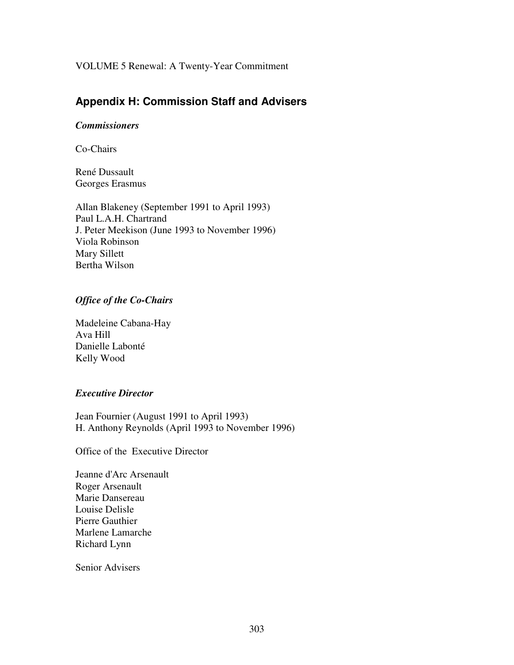VOLUME 5 Renewal: A Twenty-Year Commitment

# **Appendix H: Commission Staff and Advisers**

# *Commissioners*

Co-Chairs

René Dussault Georges Erasmus

Allan Blakeney (September 1991 to April 1993) Paul L.A.H. Chartrand J. Peter Meekison (June 1993 to November 1996) Viola Robinson Mary Sillett Bertha Wilson

# *Office of the Co-Chairs*

Madeleine Cabana-Hay Ava Hill Danielle Labonté Kelly Wood

## *Executive Director*

Jean Fournier (August 1991 to April 1993) H. Anthony Reynolds (April 1993 to November 1996)

Office of the Executive Director

Jeanne d'Arc Arsenault Roger Arsenault Marie Dansereau Louise Delisle Pierre Gauthier Marlene Lamarche Richard Lynn

Senior Advisers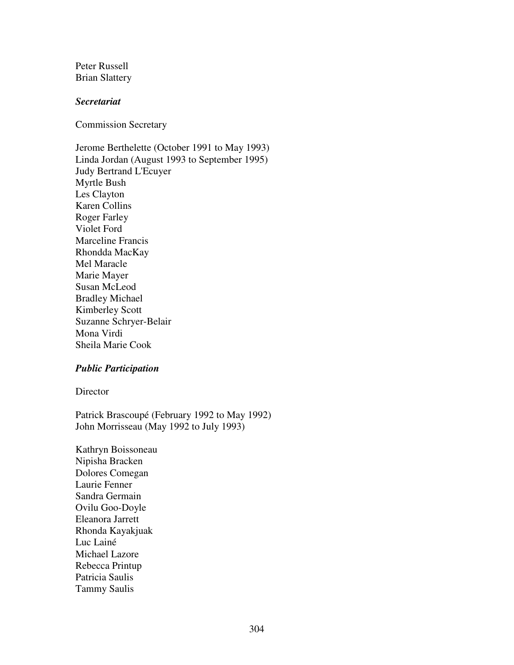Peter Russell Brian Slattery

#### *Secretariat*

Commission Secretary

Jerome Berthelette (October 1991 to May 1993) Linda Jordan (August 1993 to September 1995) Judy Bertrand L'Ecuyer Myrtle Bush Les Clayton Karen Collins Roger Farley Violet Ford Marceline Francis Rhondda MacKay Mel Maracle Marie Mayer Susan McLeod Bradley Michael Kimberley Scott Suzanne Schryer-Belair Mona Virdi Sheila Marie Cook

## *Public Participation*

**Director** 

Patrick Brascoupé (February 1992 to May 1992) John Morrisseau (May 1992 to July 1993)

Kathryn Boissoneau Nipisha Bracken Dolores Comegan Laurie Fenner Sandra Germain Ovilu Goo-Doyle Eleanora Jarrett Rhonda Kayakjuak Luc Lainé Michael Lazore Rebecca Printup Patricia Saulis Tammy Saulis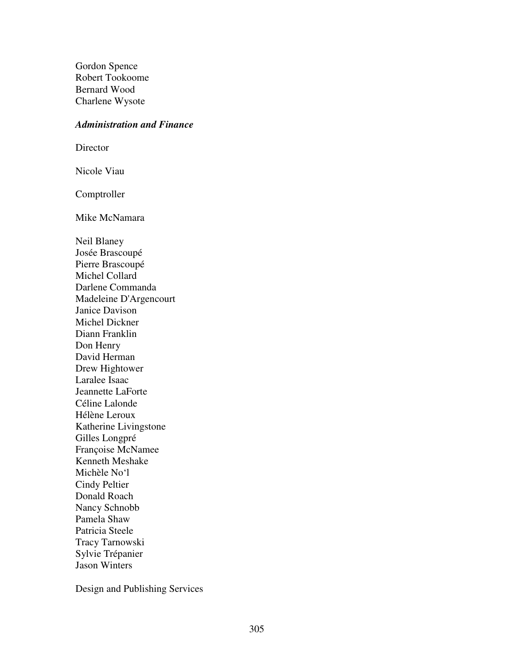Gordon Spence Robert Tookoome Bernard Wood Charlene Wysote

#### *Administration and Finance*

Director

Nicole Viau

Comptroller

Mike McNamara

Neil Blaney Josée Brascoupé Pierre Brascoupé Michel Collard Darlene Commanda Madeleine D'Argencourt Janice Davison Michel Dickner Diann Franklin Don Henry David Herman Drew Hightower Laralee Isaac Jeannette LaForte Céline Lalonde Hélène Leroux Katherine Livingstone Gilles Longpré Françoise McNamee Kenneth Meshake Michèle No'l Cindy Peltier Donald Roach Nancy Schnobb Pamela Shaw Patricia Steele Tracy Tarnowski Sylvie Trépanier Jason Winters

Design and Publishing Services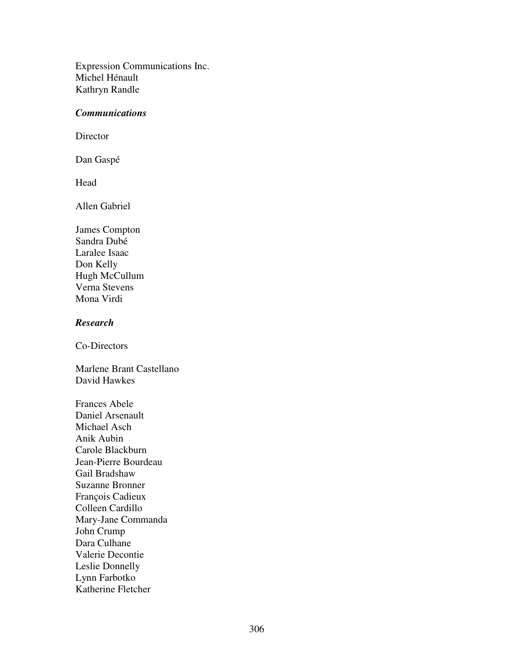Expression Communications Inc. Michel Hénault Kathryn Randle

#### *Communications*

Director

Dan Gaspé

Head

Allen Gabriel

James Compton Sandra Dubé Laralee Isaac Don Kelly Hugh McCullum Verna Stevens Mona Virdi

## *Research*

Co-Directors

Marlene Brant Castellano David Hawkes

Frances Abele Daniel Arsenault Michael Asch Anik Aubin Carole Blackburn Jean-Pierre Bourdeau Gail Bradshaw Suzanne Bronner François Cadieux Colleen Cardillo Mary-Jane Commanda John Crump Dara Culhane Valerie Decontie Leslie Donnelly Lynn Farbotko Katherine Fletcher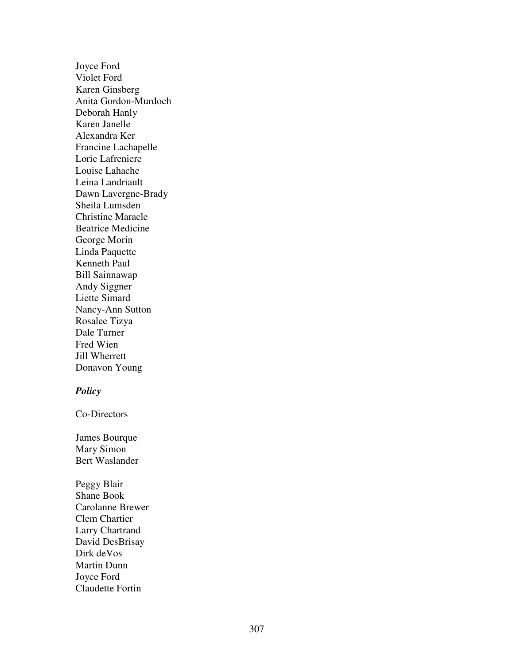Joyce Ford Violet Ford Karen Ginsberg Anita Gordon-Murdoch Deborah Hanly Karen Janelle Alexandra Ker Francine Lachapelle Lorie Lafreniere Louise Lahache Leina Landriault Dawn Lavergne-Brady Sheila Lumsden Christine Maracle Beatrice Medicine George Morin Linda Paquette Kenneth Paul Bill Sainnawap Andy Siggner Liette Simard Nancy-Ann Sutton Rosalee Tizya Dale Turner Fred Wien Jill Wherrett Donavon Young

#### *Po li cy*

Co-Directors

James Bourque Mary Simon Bert Waslander

Peggy Blair Shane Book Carolanne Brewer Clem Chartier Larry Chartrand David DesBrisay Dirk de Vos Martin Dunn Joyce Ford Claudette Fortin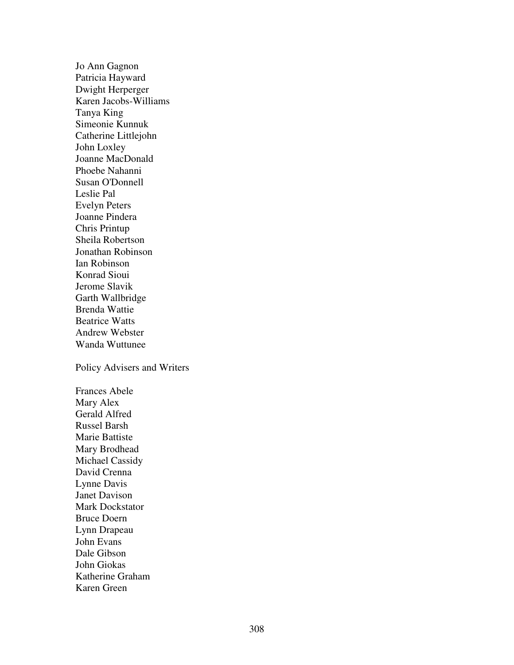Jo Ann Gagnon Patricia Hayward Dwight Herperger Karen Jacobs-Williams Tanya King Simeonie Kunnuk Catherine Littlejohn John Loxley Joanne MacDonald Phoebe Nahanni Susan O'Donnell Leslie Pal Evelyn Peters Joanne Pindera Chris Printup Sheila Robertson Jonathan Robinson Ian Robinson Konrad Sioui Jerome Slavik Garth Wallbridge Brenda Wattie Beatrice Watts Andrew Webster Wanda Wuttunee

Policy Advisers and Writers

Frances Abele Mary Alex Gerald Alfred Russel Barsh Marie Battiste Mary Brodhead Michael Cassidy David Crenna Lynne Davis Janet Davison Mark Dockstator Bruce Doern Lynn Drapeau John Evans Dale Gibson John Giokas Katherine Graham Karen Green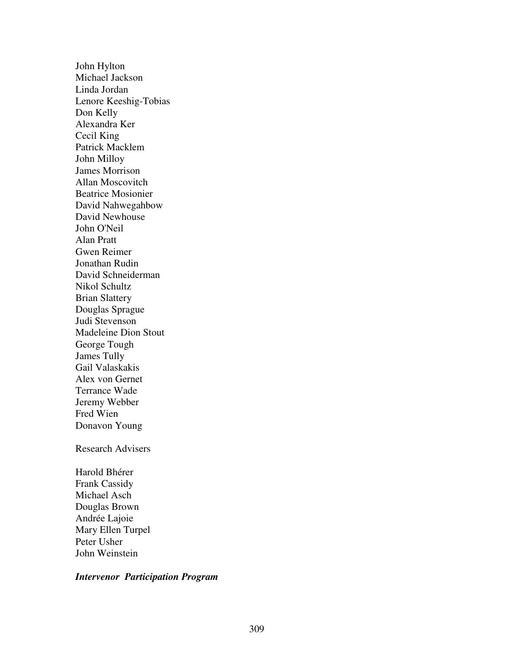John Hylton Michael Jackson Linda Jordan Lenore Keeshig-Tobias Don Kelly Alexandra Ker Cecil King Patrick Macklem John Milloy James Morrison Allan Moscovitch Beatrice Mosionier David Nahwegahbow David Newhouse John O'Neil Alan Pratt Gwen Reimer Jonathan Rudin David Schneiderman Nikol Schultz Brian Slattery Douglas Sprague Judi Stevenson Madeleine Dion Stout George Tough James Tully Gail Valaskakis Alex von Gernet Terrance Wade Jeremy Webber Fred Wien Donavon Young Research Advisers Harold Bhérer Frank Cassidy Michael Asch Douglas Brown

Andrée Lajoie Mary Ellen Turpel Peter Usher John Weinstein

#### *Intervenor Participation Program*